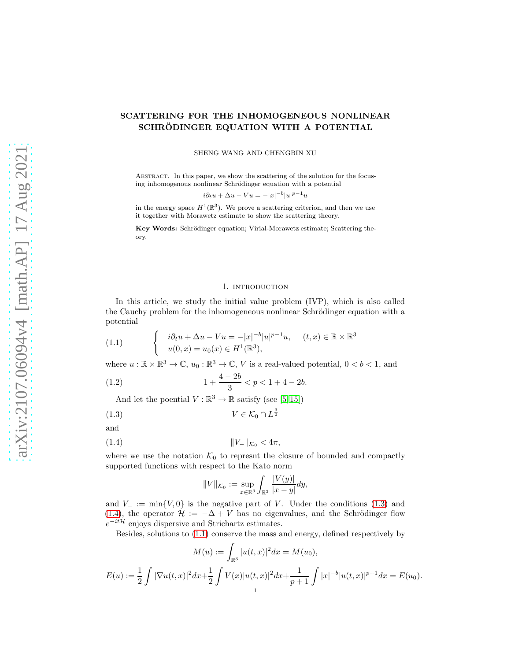# SCATTERING FOR THE INHOMOGENEOUS NONLINEAR SCHRÖDINGER EQUATION WITH A POTENTIAL

SHENG WANG AND CHENGBIN XU

ABSTRACT. In this paper, we show the scattering of the solution for the focusing inhomogenous nonlinear Schrödinger equation with a potential

$$
i\partial_t u + \Delta u - Vu = -|x|^{-b}|u|^{p-1}u
$$

in the energy space  $H^1(\mathbb{R}^3)$ . We prove a scattering criterion, and then we use it together with Morawetz estimate to show the scattering theory.

Key Words: Schrödinger equation; Virial-Morawetz estimate; Scattering theory.

#### 1. INTRODUCTION

In this article, we study the initial value problem (IVP), which is also called the Cauchy problem for the inhomogeneous nonlinear Schrödinger equation with a potential

<span id="page-0-2"></span>(1.1) 
$$
\begin{cases} i\partial_t u + \Delta u - Vu = -|x|^{-b}|u|^{p-1}u, & (t,x) \in \mathbb{R} \times \mathbb{R}^3 \\ u(0,x) = u_0(x) \in H^1(\mathbb{R}^3), \end{cases}
$$

where  $u : \mathbb{R} \times \mathbb{R}^3 \to \mathbb{C}$ ,  $u_0 : \mathbb{R}^3 \to \mathbb{C}$ , V is a real-valued potential,  $0 < b < 1$ , and

(1.2) 
$$
1 + \frac{4 - 2b}{3} < p < 1 + 4 - 2b.
$$

And let the poential  $V : \mathbb{R}^3 \to \mathbb{R}$  satisfy (see [\[5,](#page-12-0)15])

<span id="page-0-0"></span>
$$
(1.3) \t\t V \in \mathcal{K}_0 \cap L^{\frac{3}{2}}
$$

and

<span id="page-0-1"></span>(1.4) 
$$
||V_{-}||_{\mathcal{K}_{0}} < 4\pi,
$$

where we use the notation  $\mathcal{K}_0$  to represnt the closure of bounded and compactly supported functions with respect to the Kato norm

$$
||V||_{\mathcal{K}_0} := \sup_{x \in \mathbb{R}^3} \int_{\mathbb{R}^3} \frac{|V(y)|}{|x - y|} dy,
$$

and  $V_-\coloneqq \min\{V,0\}$  is the negative part of V. Under the conditions [\(1.3\)](#page-0-0) and [\(1.4\)](#page-0-1), the operator  $\mathcal{H} := -\Delta + V$  has no eigenvalues, and the Schrödinger flow  $e^{-it\mathcal{H}}$  enjoys dispersive and Strichartz estimates.

Besides, solutions to [\(1.1\)](#page-0-2) conserve the mass and energy, defined respectively by

$$
M(u) := \int_{\mathbb{R}^3} |u(t, x)|^2 dx = M(u_0),
$$
  

$$
E(u) := \frac{1}{2} \int |\nabla u(t, x)|^2 dx + \frac{1}{2} \int V(x) |u(t, x)|^2 dx + \frac{1}{p+1} \int |x|^{-b} |u(t, x)|^{p+1} dx = E(u_0).
$$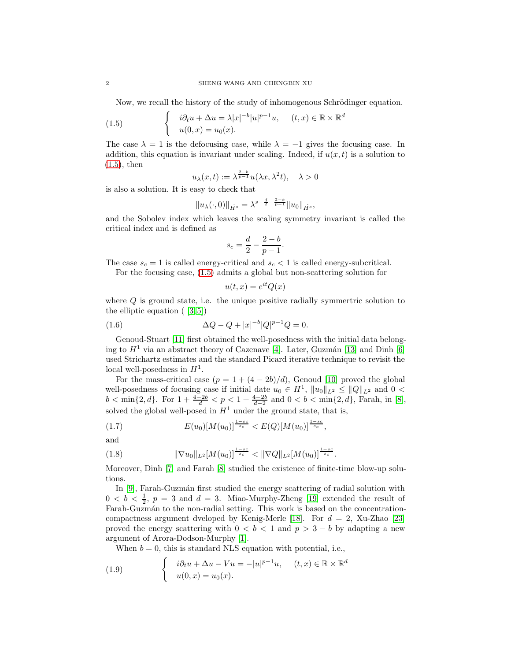Now, we recall the history of the study of inhomogenous Schrödinger equation.

<span id="page-1-0"></span>(1.5) 
$$
\begin{cases} i\partial_t u + \Delta u = \lambda |x|^{-b} |u|^{p-1} u, & (t, x) \in \mathbb{R} \times \mathbb{R}^d \\ u(0, x) = u_0(x). \end{cases}
$$

The case  $\lambda = 1$  is the defocusing case, while  $\lambda = -1$  gives the focusing case. In addition, this equation is invariant under scaling. Indeed, if  $u(x, t)$  is a solution to [\(1.5\)](#page-1-0), then

$$
u_{\lambda}(x,t) := \lambda^{\frac{2-b}{p-1}} u(\lambda x, \lambda^2 t), \quad \lambda > 0
$$

is also a solution. It is easy to check that

$$
||u_{\lambda}(\cdot,0)||_{\dot{H}^{s}} = \lambda^{s-\frac{d}{2}-\frac{2-b}{p-1}}||u_{0}||_{\dot{H}^{s}},
$$

and the Sobolev index which leaves the scaling symmetry invariant is called the critical index and is defined as

$$
s_c = \frac{d}{2} - \frac{2 - b}{p - 1}.
$$

The case  $s_c = 1$  is called energy-critical and  $s_c < 1$  is called energy-subcritical.

For the focusing case, [\(1.5\)](#page-1-0) admits a global but non-scattering solution for

$$
u(t,x) = e^{it}Q(x)
$$

where Q is ground state, i.e. the unique positive radially symmetric solution to the elliptic equation  $(3,5]$ 

(1.6) 
$$
\Delta Q - Q + |x|^{-b} |Q|^{p-1} Q = 0.
$$

Genoud-Stuart [\[11\]](#page-13-1) first obtained the well-posedness with the initial data belonging to  $H<sup>1</sup>$  via an abstract theory of Cazenave [\[4\]](#page-12-2). Later, Guzmán [\[13\]](#page-13-2) and Dinh [\[6\]](#page-12-3) used Strichartz estimates and the standard Picard iterative technique to revisit the local well-posedness in  $H^1$ .

For the mass-critical case  $(p = 1 + (4 - 2b)/d)$ , Genoud [\[10\]](#page-13-3) proved the global well-posedness of focusing case if initial date  $u_0 \in H^1$ ,  $||u_0||_{L^2} \le ||Q||_{L^2}$  and  $0 <$  $b < \min\{2, d\}$ . For  $1 + \frac{4-2b}{d} < p < 1 + \frac{4-2b}{d-2}$  and  $0 < b < \min\{2, d\}$ , Farah, in [\[8\]](#page-13-4), solved the global well-posed in  $H^1$  under the ground state, that is,

(1.7) 
$$
E(u_0)[M(u_0)]^{\frac{1-sc}{s_c}} < E(Q)[M(u_0)]^{\frac{1-sc}{s_c}},
$$

and

$$
(1.8) \t\t\t \|\nabla u_0\|_{L^2}[M(u_0)]^{\frac{1-sc}{s_c}} < \|\nabla Q\|_{L^2}[M(u_0)]^{\frac{1-sc}{s_c}}.
$$

Moreover, Dinh [\[7\]](#page-13-5) and Farah [\[8\]](#page-13-4) studied the existence of finite-time blow-up solutions.

In [\[9\]](#page-13-6), Farah-Guzmán first studied the energy scattering of radial solution with  $0 < b < \frac{1}{2}$ ,  $p = 3$  and  $d = 3$ . Miao-Murphy-Zheng [\[19\]](#page-13-7) extended the result of Farah-Guzmán to the non-radial setting. This work is based on the concentration-compactness argument dveloped by Kenig-Merle [\[18\]](#page-13-8). For  $d = 2$ , Xu-Zhao [\[23\]](#page-13-9) proved the energy scattering with  $0 < b < 1$  and  $p > 3 - b$  by adapting a new argument of Arora-Dodson-Murphy [\[1\]](#page-12-4).

When  $b = 0$ , this is standard NLS equation with potential, i.e.,

(1.9) 
$$
\begin{cases} i\partial_t u + \Delta u - Vu = -|u|^{p-1}u, & (t,x) \in \mathbb{R} \times \mathbb{R}^d \\ u(0,x) = u_0(x). \end{cases}
$$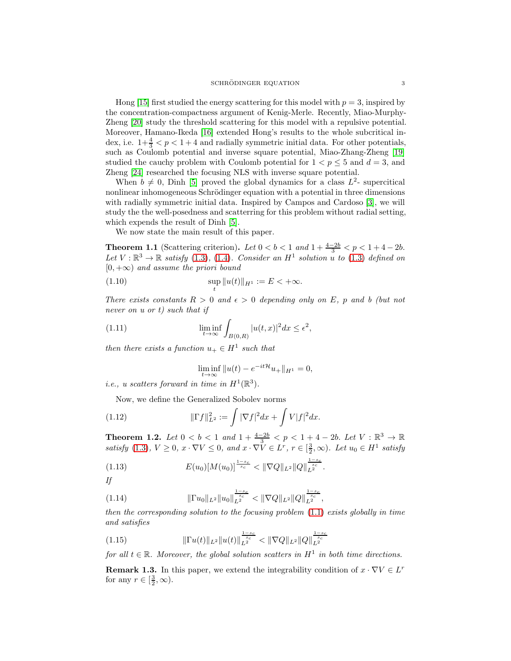Hong [\[15\]](#page-13-0) first studied the energy scattering for this model with  $p = 3$ , inspired by the concentration-compactness argument of Kenig-Merle. Recently, Miao-Murphy-Zheng [\[20\]](#page-13-10) study the threshold scattering for this model with a repulsive potential. Moreover, Hamano-Ikeda [\[16\]](#page-13-11) extended Hong's results to the whole subcritical index, i.e.  $1+\frac{4}{3} < p < 1+4$  and radially symmetric initial data. For other potentials, such as Coulomb potential and inverse square potential, Miao-Zhang-Zheng [\[19\]](#page-13-7) studied the cauchy problem with Coulomb potential for  $1 < p \leq 5$  and  $d = 3$ , and Zheng [\[24\]](#page-13-12) researched the focusing NLS with inverse square potential.

When  $b \neq 0$ , Dinh [\[5\]](#page-12-0) proved the global dynamics for a class  $L^2$ - supercitical nonlinear inhomogeneous Schrödinger equation with a potential in three dimensions with radially symmetric initial data. Inspired by Campos and Cardoso [\[3\]](#page-12-1), we will study the the well-posedness and scatterring for this problem without radial setting, which expends the result of Dinh [\[5\]](#page-12-0).

We now state the main result of this paper.

<span id="page-2-0"></span>**Theorem 1.1** (Scattering criterion). Let  $0 < b < 1$  and  $1 + \frac{4-2b}{3} < p < 1 + 4 - 2b$ . Let  $V: \mathbb{R}^3 \to \mathbb{R}$  satisfy [\(1.3\)](#page-0-0), [\(1.4\)](#page-0-1). Consider an  $H^1$  solution u to (1.3) defined on  $[0, +\infty)$  and assume the priori bound

<span id="page-2-4"></span>(1.10) 
$$
\sup_{t} ||u(t)||_{H^1} := E < +\infty.
$$

There exists constants  $R > 0$  and  $\epsilon > 0$  depending only on E, p and b (but not never on u or t) such that if

<span id="page-2-5"></span>(1.11) 
$$
\liminf_{t \to \infty} \int_{B(0,R)} |u(t,x)|^2 dx \le \epsilon^2,
$$

then there exists a function  $u_+ \in H^1$  such that

$$
\liminf_{t \to \infty} \|u(t) - e^{-it\mathcal{H}} u_+\|_{H^1} = 0,
$$

*i.e.*, *u* scatters forward in time in  $H^1(\mathbb{R}^3)$ .

Now, we define the Generalized Sobolev norms

(1.12) 
$$
\|\Gamma f\|_{L^2}^2 := \int |\nabla f|^2 dx + \int V|f|^2 dx.
$$

<span id="page-2-1"></span>**Theorem 1.2.** Let  $0 < b < 1$  and  $1 + \frac{4-2b}{3} < p < 1 + 4 - 2b$ . Let  $V : \mathbb{R}^3 \to \mathbb{R}$ satisfy [\(1.3\)](#page-0-0),  $V \ge 0$ ,  $x \cdot \nabla V \le 0$ , and  $x \cdot \nabla V \in L^r$ ,  $r \in [\frac{3}{2}, \infty)$ . Let  $u_0 \in H^1$  satisfy

<span id="page-2-2"></span>
$$
(1.13) \t E(u_0)[M(u_0)]^{\frac{1-s_c}{s_c}} < \|\nabla Q\|_{L^2} \|Q\|_{L^2}^{\frac{1-s_c}{s_c}}.
$$

If

<span id="page-2-3"></span>kΓu0kL<sup>2</sup> ku0k 1−sc sc <sup>L</sup><sup>2</sup> < k∇QkL<sup>2</sup>kQk 1−sc sc (1.14) <sup>L</sup><sup>2</sup> ,

then the corresponding solution to the focusing problem  $(1.1)$  exists globally in time and satisfies

<span id="page-2-6"></span>
$$
(1.15) \t\t\t\t \|\Gamma u(t)\|_{L^2} \|u(t)\|_{L^2}^{\frac{1-s_c}{s_c}} < \|\nabla Q\|_{L^2} \|Q\|_{L^2}^{\frac{1-s_c}{s_c}}
$$

for all  $t \in \mathbb{R}$ . Moreover, the global solution scatters in  $H^1$  in both time directions.

**Remark 1.3.** In this paper, we extend the integrability condition of  $x \cdot \nabla V \in L^r$ for any  $r \in [\frac{3}{2}, \infty)$ .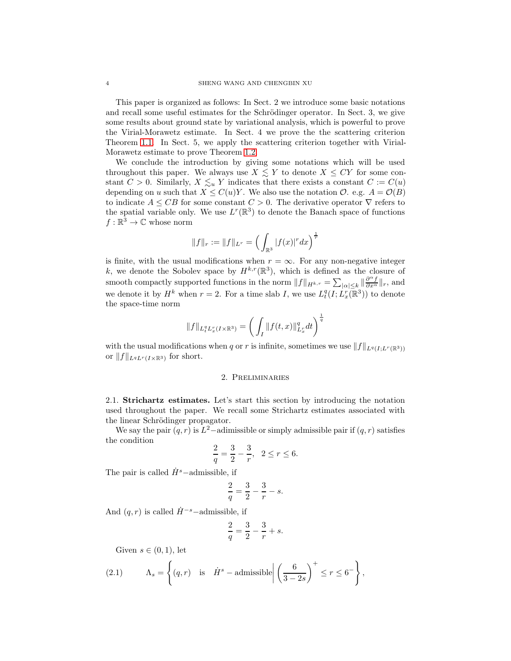This paper is organized as follows: In Sect. 2 we introduce some basic notations and recall some useful estimates for the Schrödinger operator. In Sect. 3, we give some results about ground state by variational analysis, which is powerful to prove the Virial-Morawetz estimate. In Sect. 4 we prove the the scattering criterion Theorem [1.1.](#page-2-0) In Sect. 5, we apply the scattering criterion together with Virial-Morawetz estimate to prove Theorem [1.2.](#page-2-1)

We conclude the introduction by giving some notations which will be used throughout this paper. We always use  $X \leq Y$  to denote  $X \leq CY$  for some constant  $C > 0$ . Similarly,  $X \leq u Y$  indicates that there exists a constant  $C := C(u)$ depending on u such that  $X \leq C(u)Y$ . We also use the notation  $\mathcal{O}$ . e.g.  $A = \mathcal{O}(B)$ to indicate  $A \leq CB$  for some constant  $C > 0$ . The derivative operator  $\nabla$  refers to the spatial variable only. We use  $L^r(\mathbb{R}^3)$  to denote the Banach space of functions  $f : \mathbb{R}^3 \to \mathbb{C}$  whose norm

$$
||f||_r := ||f||_{L^r} = \Big(\int_{\mathbb{R}^3} |f(x)|^r dx\Big)^{\frac{1}{r}}
$$

is finite, with the usual modifications when  $r = \infty$ . For any non-negative integer k, we denote the Sobolev space by  $H^{k,r}(\mathbb{R}^3)$ , which is defined as the closure of smooth compactly supported functions in the norm  $||f||_{H^{k,r}} = \sum_{|\alpha| \leq k} ||\frac{\partial^{\alpha} f}{\partial x^{\alpha}}||_r$ , and we denote it by  $H^k$  when  $r = 2$ . For a time slab I, we use  $L_t^q(I; L_x^r(\mathbb{R}^3))$  to denote the space-time norm

$$
||f||_{L_t^q L_x^r(I \times \mathbb{R}^3)} = \left(\int_I ||f(t,x)||_{L_x^r}^q dt\right)^{\frac{1}{q}}
$$

with the usual modifications when q or r is infinite, sometimes we use  $||f||_{L^q(I;L^r(\mathbb{R}^3))}$ or  $||f||_{L^qL^r(I\times\mathbb{R}^3)}$  for short.

## 2. Preliminaries

2.1. Strichartz estimates. Let's start this section by introducing the notation used throughout the paper. We recall some Strichartz estimates associated with the linear Schrödinger propagator.

We say the pair  $(q, r)$  is  $L^2$ -adimissible or simply admissible pair if  $(q, r)$  satisfies the condition

$$
\frac{2}{q} = \frac{3}{2} - \frac{3}{r}, \ \ 2 \le r \le 6.
$$

The pair is called  $\dot{H}^s$  –admissible, if

$$
\frac{2}{q} = \frac{3}{2} - \frac{3}{r} - s.
$$

And  $(q, r)$  is called  $\dot{H}^{-s}$ –admissible, if

$$
\frac{2}{q} = \frac{3}{2} - \frac{3}{r} + s.
$$

Given  $s \in (0,1)$ , let

(2.1) 
$$
\Lambda_s = \left\{ (q, r) \text{ is } \dot{H}^s - \text{admissible} \middle| \left( \frac{6}{3 - 2s} \right)^+ \leq r \leq 6^- \right\},
$$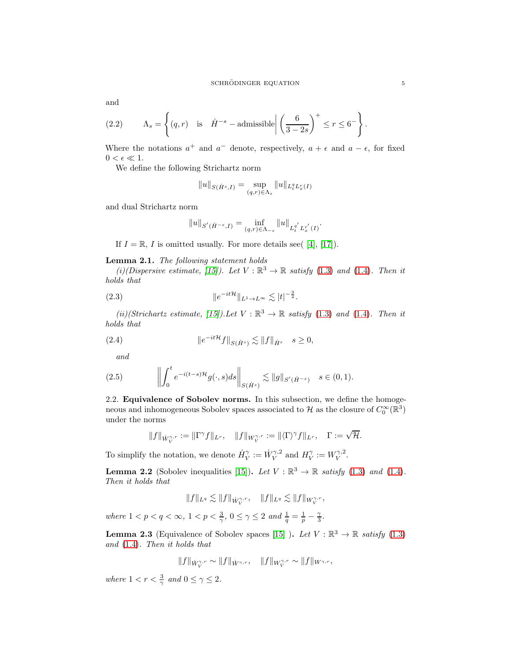and

(2.2) 
$$
\Lambda_s = \left\{ (q, r) \text{ is } \dot{H}^{-s} - \text{admissible} \middle| \left( \frac{6}{3 - 2s} \right)^+ \leq r \leq 6^- \right\}.
$$

Where the notations  $a^+$  and  $a^-$  denote, respectively,  $a + \epsilon$  and  $a - \epsilon$ , for fixed  $0 < \epsilon \ll 1$ .

We define the following Strichartz norm

$$
||u||_{S(\dot{H}^s,I)} = \sup_{(q,r)\in\Lambda_s} ||u||_{L_t^q L_x^r(I)}
$$

and dual Strichartz norm

$$
||u||_{S'(\dot{H}^{-s},I)} = \inf_{(q,r)\in\Lambda_{-s}} ||u||_{L_t^{q'}L_x^{r'}(I)}.
$$

If  $I = \mathbb{R}$ , I is omitted usually. For more details see( [\[4\]](#page-12-2), [\[17\]](#page-13-13)).

# Lemma 2.1. The following statement holds

(i)(Dispersive estimate, [\[15\]](#page-13-0)). Let  $V : \mathbb{R}^3 \to \mathbb{R}$  satisfy [\(1.3\)](#page-0-0) and [\(1.4\)](#page-0-1). Then it holds that

<span id="page-4-0"></span>(2.3) 
$$
\|e^{-it\mathcal{H}}\|_{L^1 \to L^\infty} \lesssim |t|^{-\frac{3}{2}}.
$$

(ii)(Strichartz estimate, [\[15\]](#page-13-0)). Let  $V : \mathbb{R}^3 \to \mathbb{R}$  satisfy [\(1.3\)](#page-0-0) and [\(1.4\)](#page-0-1). Then it holds that

(2.4) 
$$
\|e^{-it\mathcal{H}}f\|_{S(\dot{H}^s)} \lesssim \|f\|_{\dot{H}^s} \quad s \ge 0,
$$

and

(2.5) 
$$
\left\| \int_0^t e^{-i(t-s)\mathcal{H}} g(\cdot, s) ds \right\|_{S(\dot{H}^s)} \lesssim \|g\|_{S'(\dot{H}^{-s})} \quad s \in (0, 1).
$$

2.2. Equivalence of Sobolev norms. In this subsection, we define the homogeneous and inhomogeneous Sobolev spaces associated to  $\mathcal H$  as the closure of  $C_0^{\infty}(\mathbb R^3)$ under the norms

$$
||f||_{\dot{W}_V^{\gamma,r}} := ||\Gamma^{\gamma}f||_{L^r}, \quad ||f||_{W_V^{\gamma,r}} := ||\langle \Gamma \rangle^{\gamma}f||_{L^r}, \quad \Gamma := \sqrt{\mathcal{H}}.
$$

To simplify the notation, we denote  $\dot{H}_V^{\gamma} := \dot{W}_V^{\gamma,2}$  and  $H_V^{\gamma} := W_V^{\gamma,2}$ .

**Lemma 2.2** (Sobolev inequalities [\[15\]](#page-13-0)). Let  $V : \mathbb{R}^3 \to \mathbb{R}$  satisfy [\(1.3\)](#page-0-0) and [\(1.4\)](#page-0-1). Then it holds that

$$
||f||_{L^q} \lesssim ||f||_{\dot{W}_V^{\gamma,r}}, \quad ||f||_{L^q} \lesssim ||f||_{W_V^{\gamma,r}},
$$

where  $1 < p < q < \infty$ ,  $1 < p < \frac{3}{\gamma}$ ,  $0 \le \gamma \le 2$  and  $\frac{1}{q} = \frac{1}{p} - \frac{\gamma}{3}$ .

**Lemma 2.3** (Equivalence of Sobolev spaces [\[15\]](#page-13-0) ). Let  $V : \mathbb{R}^3 \to \mathbb{R}$  satisfy [\(1.3\)](#page-0-0) and [\(1.4\)](#page-0-1). Then it holds that

$$
\|f\|_{\dot{W}_{V}^{\gamma,r}} \sim \|f\|_{\dot{W}^{\gamma,r}}, \quad \|f\|_{W_{V}^{\gamma,r}} \sim \|f\|_{W^{\gamma,r}},
$$

where  $1 < r < \frac{3}{\gamma}$  and  $0 \le \gamma \le 2$ .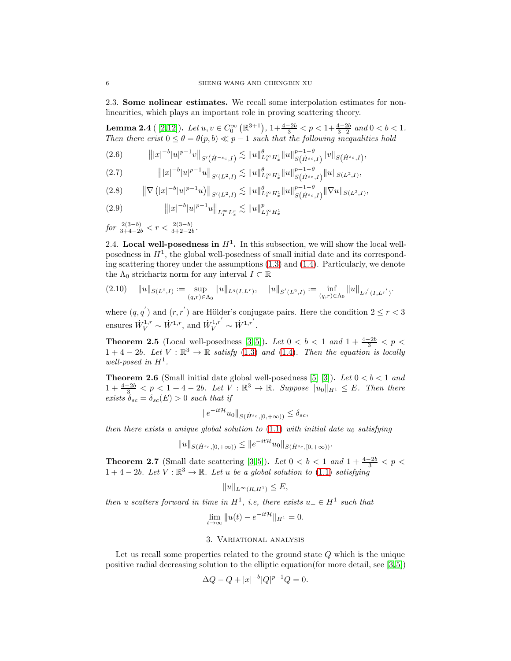2.3. Some nolinear estimates. We recall some interpolation estimates for nonlinearities, which plays an important role in proving scattering theory.

<span id="page-5-0"></span>**Lemma 2.4** ([2,[12\]](#page-13-14)). Let  $u, v \in C_0^{\infty}(\mathbb{R}^{3+1}), 1+\frac{4-2b}{3} < p < 1+\frac{4-2b}{3-2}$  and  $0 < b < 1$ . Then there erist  $0 \leq \theta = \theta(p, b) \ll p - 1$  such that the following inequalities hold

$$
(2.6) \t\t\t\t||x|^{-b}|u|^{p-1}v||_{S'(\dot{H}^{-s_c},I)} \lesssim \|u\|_{L_t^\infty H_x^1}^{\theta} \|u\|_{S(\dot{H}^{sc},I)}^{p-1-\theta} \|v\|_{S(\dot{H}^{sc},I)},
$$

$$
(2.7) \t\t\t\t||x|^{-b}|u|^{p-1}u||_{S'(L^2,I)} \lesssim ||u||_{L_t^\infty H_x^1}^{\theta} ||u||_{S(\dot{H}^{s_c},I)}^{p-1-\theta} ||u||_{S(L^2,I)},
$$

$$
(2.8) \qquad \|\nabla (|x|^{-b}|u|^{p-1}u)\|_{S'(L^2,I)} \lesssim \|u\|_{L_t^\infty H_x^1}^{\theta}\|u\|_{S(\dot{H}^{s_c},I)}^{p-1-\theta}\|\nabla u\|_{S(L^2,I)},
$$

(2.9) 
$$
|||x|^{-b}|u|^{p-1}u||_{L_I^{\infty}L_x^r} \lesssim ||u||_{L_I^{\infty}H_x^1}^p
$$

$$
for \frac{2(3-b)}{3+4-2b} < r < \frac{2(3-b)}{3+2-2b}.
$$

2.4. Local well-posedness in  $H<sup>1</sup>$ . In this subsection, we will show the local wellposedness in  $H<sup>1</sup>$ , the global well-posedness of small initial date and its corresponding scattering thorey under the assumptions [\(1.3\)](#page-0-0) and [\(1.4\)](#page-0-1). Particularly, we denote the  $\Lambda_0$  strichartz norm for any interval  $I \subset \mathbb{R}$ 

$$
(2.10) \quad ||u||_{S(L^2,I)} := \sup_{(q,r)\in\Lambda_0} ||u||_{L^q(I,L^r)}, \quad ||u||_{S'(L^2,I)} := \inf_{(q,r)\in\Lambda_0} ||u||_{L^{q'}(I,L^{r'})}.
$$

where  $(q, q')$  and  $(r, r')$  are Hölder's conjugate pairs. Here the condition  $2 \le r < 3$ ensures  $\dot{W}_{V}^{1,r} \sim \dot{W}^{1,r}$ , and  $\dot{W}_{V}^{1,r'} \sim \dot{W}^{1,r'}$ .

<span id="page-5-1"></span>**Theorem 2.5** (Local well-posedness [\[3,](#page-12-1) [5\]](#page-12-0)). Let  $0 < b < 1$  and  $1 + \frac{4-2b}{3} < p <$  $1+4-2b$ . Let  $V:\mathbb{R}^3\to\mathbb{R}$  satisfy [\(1.3\)](#page-0-0) and [\(1.4\)](#page-0-1). Then the equation is locally well-posed in  $H^1$ .

<span id="page-5-2"></span>**Theorem 2.6** (Small initial date global well-posedness [\[5\]](#page-12-0) [\[3\]](#page-12-1)). Let  $0 < b < 1$  and  $1+\frac{4-2b}{3} < p < 1+4-2b$ . Let  $V : \mathbb{R}^3 \to \mathbb{R}$ . Suppose  $||u_0||_{H^1} \leq E$ . Then there exists  $\delta_{sc} = \delta_{sc}(E) > 0$  such that if

$$
||e^{-it\mathcal{H}}u_0||_{S(\dot{H}^{s_c},[0,+\infty))} \leq \delta_{sc},
$$

then there exists a unique global solution to  $(1.1)$  with initial date  $u_0$  satisfying

$$
||u||_{S(\dot{H}^{s_c}, [0, +\infty))} \leq ||e^{-it\mathcal{H}} u_0||_{S(\dot{H}^{s_c}, [0, +\infty))}.
$$

<span id="page-5-3"></span>**Theorem 2.7** (Small date scattering [\[3,](#page-12-1)5]). Let  $0 < b < 1$  and  $1 + \frac{4-2b}{3} < p <$  $1+4-2b$ . Let  $V:\mathbb{R}^3\to\mathbb{R}$ . Let u be a global solution to [\(1.1\)](#page-0-2) satisfying

$$
||u||_{L^{\infty}(R,H^1)} \leq E,
$$

then u scatters forward in time in  $H^1$ , i.e, there exists  $u_+ \in H^1$  such that

$$
\lim_{t \to \infty} \|u(t) - e^{-it\mathcal{H}}\|_{H^1} = 0.
$$

# 3. Variational analysis

Let us recall some properties related to the ground state Q which is the unique positive radial decreasing solution to the elliptic equation(for more detail, see [\[3,](#page-12-1)[5\]](#page-12-0))

$$
\Delta Q - Q + |x|^{-b} |Q|^{p-1} Q = 0.
$$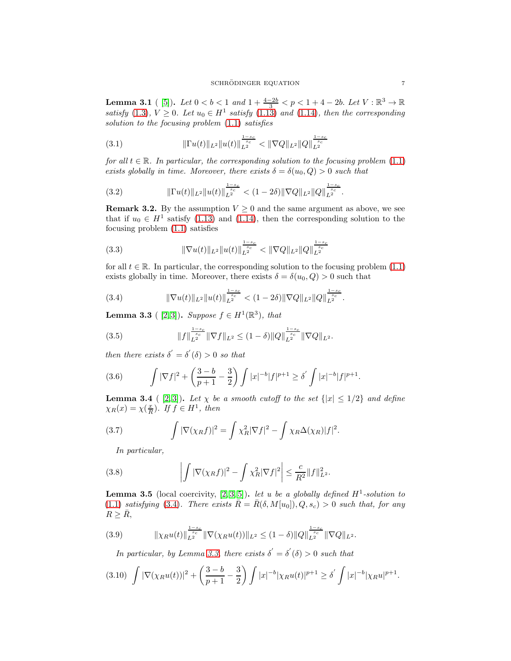**Lemma 3.1** ( [\[5\]](#page-12-0)). Let  $0 < b < 1$  and  $1 + \frac{4-2b}{3} < p < 1 + 4 - 2b$ . Let  $V : \mathbb{R}^3 \to \mathbb{R}$ satisfy [\(1.3\)](#page-0-0),  $V \ge 0$ . Let  $u_0 \in H^1$  satisfy [\(1.13\)](#page-2-2) and [\(1.14\)](#page-2-3), then the corresponding solution to the focusing problem [\(1.1\)](#page-0-2) satisfies

$$
(3.1) \t\t\t\t\t\|\Gamma u(t)\|_{L^2} \|u(t)\|_{L^2}^{\frac{1-s_c}{s_c}} < \|\nabla Q\|_{L^2} \|Q\|_{L^2}^{\frac{1-s_c}{s_c}}
$$

for all  $t \in \mathbb{R}$ . In particular, the corresponding solution to the focusing problem  $(1.1)$ exists globally in time. Moreover, there exists  $\delta = \delta(u_0, Q) > 0$  such that

kΓu(t)kL<sup>2</sup>ku(t)k 1−sc sc <sup>L</sup><sup>2</sup> < (1 − 2δ)k∇QkL<sup>2</sup>kQk 1−sc sc (3.2) <sup>L</sup><sup>2</sup> .

**Remark 3.2.** By the assumption  $V \geq 0$  and the same argument as above, we see that if  $u_0 \in H^1$  satisfy [\(1.13\)](#page-2-2) and [\(1.14\)](#page-2-3), then the corresponding solution to the focusing problem [\(1.1\)](#page-0-2) satisfies

(3.3) 
$$
\|\nabla u(t)\|_{L^2} \|u(t)\|_{L^2}^{\frac{1-s_c}{s_c}} < \|\nabla Q\|_{L^2} \|Q\|_{L^2}^{\frac{1-s_c}{s_c}}
$$

for all  $t \in \mathbb{R}$ . In particular, the corresponding solution to the focusing problem [\(1.1\)](#page-0-2) exists globally in time. Moreover, there exists  $\delta = \delta(u_0, Q) > 0$  such that

<span id="page-6-0"></span>
$$
(3.4) \t\t\t \|\nabla u(t)\|_{L^2} \|u(t)\|_{L^2}^{\frac{1-s_c}{s_c}} < (1-2\delta) \|\nabla Q\|_{L^2} \|Q\|_{L^2}^{\frac{1-s_c}{s_c}}.
$$

<span id="page-6-1"></span>**Lemma 3.3** ( [\[2,](#page-12-5)3]). Suppose  $f \in H^1(\mathbb{R}^3)$ , that

(3.5) 
$$
||f||_{L^2}^{\frac{1-s_c}{s_c}} ||\nabla f||_{L^2} \leq (1-\delta) ||Q||_{L^2}^{\frac{1-s_c}{s_c}} ||\nabla Q||_{L^2}.
$$

then there exists  $\delta' = \delta'(\delta) > 0$  so that

(3.6) 
$$
\int |\nabla f|^2 + \left(\frac{3-b}{p+1} - \frac{3}{2}\right) \int |x|^{-b} |f|^{p+1} \ge \delta' \int |x|^{-b} |f|^{p+1}.
$$

<span id="page-6-3"></span>**Lemma 3.4** ( [\[2,](#page-12-5)3]). Let  $\chi$  be a smooth cutoff to the set  $\{ |x| \leq 1/2 \}$  and define  $\chi_R(x) = \chi(\frac{x}{R})$ . If  $f \in H^1$ , then

(3.7) 
$$
\int |\nabla(\chi_R f)|^2 = \int \chi_R^2 |\nabla f|^2 - \int \chi_R \Delta(\chi_R) |f|^2.
$$

In particular,

(3.8) 
$$
\left| \int |\nabla(\chi_R f)|^2 - \int \chi_R^2 |\nabla f|^2 \right| \leq \frac{c}{R^2} \|f\|_{L^2}^2.
$$

<span id="page-6-2"></span>**Lemma 3.5** (local coercivity,  $[2,3,5]$ ). let u be a globally defined  $H^1$ -solution to [\(1.1\)](#page-0-2) satisfying [\(3.4\)](#page-6-0). There exists  $\bar{R} = \bar{R}(\delta, M[u_0]), Q, s_c) > 0$  such that, for any  $R \geq \bar{R}$ ,

$$
(3.9) \t\t\t\t||\chi_R u(t)||_{L^2}^{\frac{1-s_c}{s_c}}||\nabla(\chi_R u(t))||_{L^2} \leq (1-\delta)||Q||_{L^2}^{\frac{1-s_c}{s_c}}||\nabla Q||_{L^2}.
$$

In particular, by Lemma [3.3,](#page-6-1) there exists  $\delta' = \delta'(\delta) > 0$  such that

$$
(3.10)\ \int |\nabla(\chi_R u(t))|^2 + \left(\frac{3-b}{p+1} - \frac{3}{2}\right) \int |x|^{-b} |\chi_R u(t)|^{p+1} \ge \delta' \int |x|^{-b} |\chi_R u|^{p+1}.
$$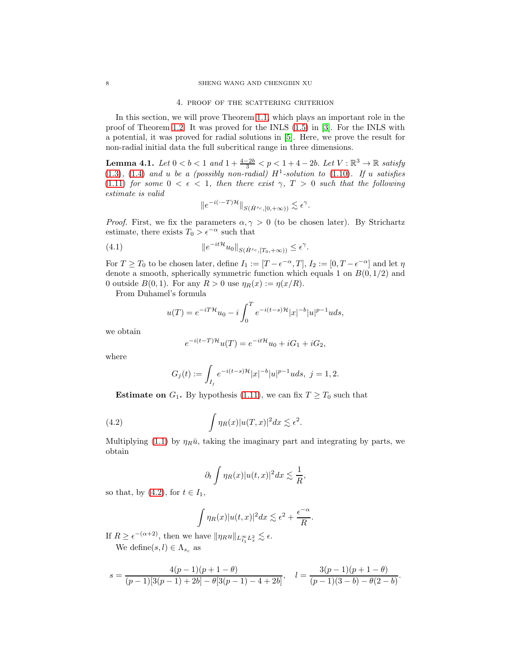#### 4. proof of the scattering criterion

In this section, we will prove Theorem [1.1,](#page-2-0) which plays an important role in the proof of Theorem [1.2.](#page-2-1) It was proved for the INLS [\(1.5\)](#page-1-0) in [\[3\]](#page-12-1). For the INLS with a potential, it was proved for radial solutions in [\[5\]](#page-12-0). Here, we prove the result for non-radial initial data the full subcritical range in three dimensions.

<span id="page-7-1"></span>**Lemma 4.1.** Let  $0 < b < 1$  and  $1 + \frac{4-2b}{3} < p < 1 + 4 - 2b$ . Let  $V : \mathbb{R}^3 \to \mathbb{R}$  satisfy  $(1.3)$ ,  $(1.4)$  and u be a (possibly non-radial)  $H^1$ -solution to  $(1.10)$ . If u satisfies [\(1.11\)](#page-2-5) for some  $0 < \epsilon < 1$ , then there exist  $\gamma$ ,  $T > 0$  such that the following estimate is valid

$$
||e^{-i(\cdot-T)\mathcal{H}}||_{S(\dot{H}^{s_c}, [0,+\infty))} \lesssim \epsilon^{\gamma}.
$$

*Proof.* First, we fix the parameters  $\alpha, \gamma > 0$  (to be chosen later). By Strichartz estimate, there exists  $T_0 > \epsilon^{-\alpha}$  such that

(4.1) 
$$
\|e^{-it\mathcal{H}}u_0\|_{S(\dot{H}^{s_c}, [T_0, +\infty))} \leq \epsilon^{\gamma}.
$$

For  $T \ge T_0$  to be chosen later, define  $I_1 := [T - \epsilon^{-\alpha}, T]$ ,  $I_2 := [0, T - \epsilon^{-\alpha}]$  and let  $\eta$ denote a smooth, spherically symmetric function which equals 1 on  $B(0, 1/2)$  and 0 outside  $B(0, 1)$ . For any  $R > 0$  use  $\eta_R(x) := \eta(x/R)$ .

From Duhamel's formula

$$
u(T) = e^{-iT\mathcal{H}}u_0 - i \int_0^T e^{-i(t-s)\mathcal{H}} |x|^{-b} |u|^{p-1} u ds,
$$

we obtain

$$
e^{-i(t-T)\mathcal{H}}u(T) = e^{-it\mathcal{H}}u_0 + iG_1 + iG_2,
$$

where

$$
G_j(t):=\int_{I_j}e^{-i(t-s)\mathcal{H}}|x|^{-b}|u|^{p-1}uds, \ j=1,2.
$$

**Estimate on**  $G_1$ . By hypothesis [\(1.11\)](#page-2-5), we can fix  $T \geq T_0$  such that

<span id="page-7-0"></span>(4.2) 
$$
\int \eta_R(x)|u(T,x)|^2 dx \lesssim \epsilon^2.
$$

Multiplying [\(1.1\)](#page-0-2) by  $\eta_R\bar{u}$ , taking the imaginary part and integrating by parts, we obtain

$$
\partial_t \int \eta_R(x) |u(t,x)|^2 dx \lesssim \frac{1}{R},
$$

so that, by  $(4.2)$ , for  $t \in I_1$ ,

$$
\int \eta_R(x)|u(t,x)|^2 dx \lesssim \epsilon^2 + \frac{\epsilon^{-\alpha}}{R}.
$$

If  $R \geq \epsilon^{-(\alpha+2)}$ , then we have  $\|\eta_R u\|_{L_{I_1}^{\infty}L_x^2} \lesssim \epsilon$ . We define $(s, l) \in \Lambda_{s_c}$  as

$$
s=\frac{4(p-1)(p+1-\theta)}{(p-1)[3(p-1)+2b]-\theta[3(p-1)-4+2b]},\quad l=\frac{3(p-1)(p+1-\theta)}{(p-1)(3-b)-\theta(2-b)}.
$$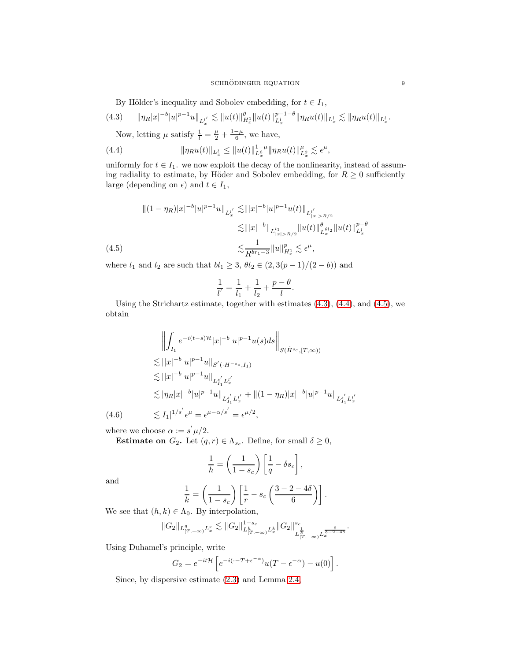#### ${\bf SCHRÖDINGER\_EQUATION} {\color{red} 9}$

By Hölder's inequality and Sobolev embedding, for  $t \in I_1$ ,

<span id="page-8-0"></span>
$$
(4.3) \qquad \|\eta_R|x|^{-b}|u|^{p-1}u\|_{L_x^{l'}} \lesssim \|u(t)\|_{H_x^1}^{\theta}\|u(t)\|_{L_x^l}^{p-1-\theta}\|\eta_R u(t)\|_{L_x^l} \lesssim \|\eta_R u(t)\|_{L_x^l}.
$$

Now, letting  $\mu$  satisfy  $\frac{1}{l} = \frac{\mu}{2} + \frac{1-\mu}{6}$ , we have,

<span id="page-8-1"></span>(4.4) 
$$
\|\eta_R u(t)\|_{L^l_x} \leq \|u(t)\|_{L^6_x}^{1-\mu} \|\eta_R u(t)\|_{L^2_x}^{\mu} \lesssim \epsilon^{\mu},
$$

uniformly for  $t \in I_1$ . we now exploit the decay of the nonlinearity, instead of assuming radiality to estimate, by Höder and Sobolev embedding, for  $R \geq 0$  sufficiently large (depending on  $\epsilon$ ) and  $t \in I_1$ ,

$$
\begin{aligned} \|(1 - \eta_R)|x|^{-b}|u|^{p-1}u\|_{L_x^{l'}} &\lesssim \||x|^{-b}|u|^{p-1}u(t)\|_{L_{|x|>R/2}^{l'}}\\ &\lesssim \||x|^{-b}\|_{L_{|x|>R/2}^{l_1}}\|u(t)\|_{L_x^{q_l_2}}^{\theta_{l_2}}\|u(t)\|_{L_x^{l}}^{p-\theta_{l}}\\ &\lesssim \frac{1}{R^{br_1 - 3}}\|u\|_{H_x^1}^p \lesssim \epsilon^\mu, \end{aligned}
$$
\n
$$
(4.5)
$$

<span id="page-8-2"></span>where  $l_1$  and  $l_2$  are such that  $bl_1 \geq 3$ ,  $\theta l_2 \in (2, 3(p-1)/(2 - b))$  and

$$
\frac{1}{l'} = \frac{1}{l_1} + \frac{1}{l_2} + \frac{p - \theta}{l}.
$$

Using the Strichartz estimate, together with estimates [\(4.3\)](#page-8-0), [\(4.4\)](#page-8-1), and [\(4.5\)](#page-8-2), we obtain

$$
\left\| \int_{I_1} e^{-i(t-s)\mathcal{H}} |x|^{-b} |u|^{p-1} u(s) ds \right\|_{S(\dot{H}^{s_c}, [T, \infty))}
$$
  
\n
$$
\lesssim |||x|^{-b} |u|^{p-1} u||_{S'(\cdot, H^{-s_c}, I_1)}
$$
  
\n
$$
\lesssim |||x|^{-b} |u|^{p-1} u||_{L_{I_1}^{s'} L_x^{l'}}
$$
  
\n
$$
\lesssim ||\eta_R |x|^{-b} |u|^{p-1} u||_{L_{I_1}^{s'} L_x^{l'}} + ||(1 - \eta_R)|x|^{-b} |u|^{p-1} u||_{L_{I_1}^{s'} L_x^{l'}}
$$
  
\n
$$
\lesssim |I_1|^{1/s'} \epsilon^{\mu} = \epsilon^{\mu - \alpha/s'} = \epsilon^{\mu/2},
$$

where we choose  $\alpha := s' \mu/2$ .

**Estimate on**  $G_2$ . Let  $(q, r) \in \Lambda_{s_c}$ . Define, for small  $\delta \geq 0$ ,

$$
\frac{1}{h} = \left(\frac{1}{1 - s_c}\right) \left[\frac{1}{q} - \delta s_c\right],
$$

and

$$
\frac{1}{k} = \left(\frac{1}{1 - s_c}\right) \left[\frac{1}{r} - s_c \left(\frac{3 - 2 - 4\delta}{6}\right)\right].
$$

We see that  $(h, k) \in \Lambda_0$ . By interpolation,

$$
||G_2||_{L_{[T,+\infty)}^{q}L_x^r} \lesssim ||G_2||_{L_{[T,+\infty)}^{h}L_x^k}^{1-s_c} ||G_2||_{L_{[T,+\infty)}^{\frac{1}{3}}}^{s_c} L_{\frac{1}{3}-2-4\delta}^{\frac{6}{3-2-4\delta}}.
$$

Using Duhamel's principle, write

$$
G_2 = e^{-it\mathcal{H}} \left[ e^{-i(\cdot - T + \epsilon^{-\alpha})} u(T - \epsilon^{-\alpha}) - u(0) \right].
$$

Since, by dispersive estimate [\(2.3\)](#page-4-0) and Lemma [2.4,](#page-5-0)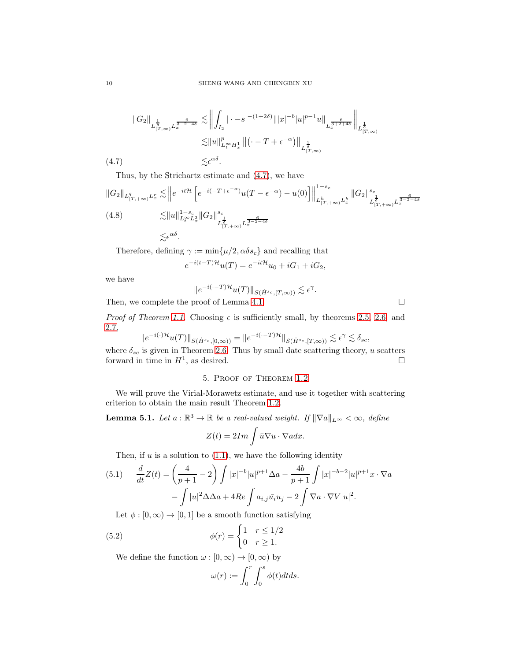$$
||G_{2}||_{L^{\frac{1}{3}}_{[T,\infty)}L^{\frac{6}{3-2-4\delta}}_{x}} \lesssim ||\int_{I_{2}} |\cdot -s|^{-(1+2\delta)} |||x|^{-b}|u|^{p-1}u||_{L^{\frac{6}{3+2+4\delta}}_{x}}||_{L^{\frac{1}{3}}_{[T,\infty)}}
$$
  

$$
\lesssim ||u||_{L^{\infty}_{t}H^{1}_{x}}^{p} ||(\cdot -T + \epsilon^{-\alpha})||_{L^{\frac{1}{3}}_{[T,\infty)}}
$$
  
(4.7) 
$$
\lesssim \epsilon^{\alpha\delta}.
$$

<span id="page-9-0"></span>Thus, by the Strichartz estimate and [\(4.7\)](#page-9-0), we have

$$
||G_2||_{L_{[T,+\infty)}^q L_x^r} \lesssim ||e^{-it\mathcal{H}} \left[e^{-i(-T+\epsilon^{-\alpha})}u(T-\epsilon^{-\alpha}) - u(0)\right]||_{L_{[T,+\infty)}^h L_x^b}^{1-s_c} ||G_2||_{L_{[T,+\infty)}^s}^{s_c}
$$
  
(4.8)  

$$
\lesssim ||u||_{L_t^\infty L_x^2}^{1-s_c} ||G_2||_{L_{[T,+\infty)}^s L_x^{\frac{6}{3-\alpha}} L_{[T,+\infty)}^{\frac{6}{3-\alpha}} L_x^{\frac{6}{3-\alpha}}}
$$
  

$$
\lesssim \epsilon^{\alpha\delta}.
$$

Therefore, defining  $\gamma := \min\{\mu/2, \alpha \delta s_c\}$  and recalling that

$$
e^{-i(t-T)\mathcal{H}}u(T) = e^{-it\mathcal{H}}u_0 + iG_1 + iG_2,
$$

we have

$$
||e^{-i(\cdot-T)\mathcal{H}}u(T)||_{S(\dot{H}^{s_c}, [T,\infty))} \lesssim \epsilon^{\gamma}.
$$

Then, we complete the proof of Lemma [4.1.](#page-7-1)  $\Box$ 

*Proof of Theorem [1.1.](#page-2-0)* Choosing  $\epsilon$  is sufficiently small, by theorems [2.5,](#page-5-1) [2.6,](#page-5-2) and [2.7,](#page-5-3)

$$
||e^{-i(\cdot)\mathcal{H}}u(T)||_{S(\dot{H}^{s_c}, [0,\infty))} = ||e^{-i(\cdot-T)\mathcal{H}}||_{S(\dot{H}^{s_c}, [T,\infty))} \lesssim \epsilon^{\gamma} \lesssim \delta_{sc},
$$

where  $\delta_{sc}$  is given in Theorem [2.6.](#page-5-2) Thus by small date scattering theory, u scatters forward in time in  $H^1$ , as desired.

# 5. Proof of Theorem [1.2](#page-2-1)

We will prove the Virial-Morawetz estimate, and use it together with scattering criterion to obtain the main result Theorem [1.2.](#page-2-1)

**Lemma 5.1.** Let  $a : \mathbb{R}^3 \to \mathbb{R}$  be a real-valued weight. If  $\|\nabla a\|_{L^\infty} < \infty$ , define

$$
Z(t) = 2Im \int \bar{u} \nabla u \cdot \nabla a dx.
$$

Then, if  $u$  is a solution to  $(1.1)$ , we have the following identity

(5.1) 
$$
\frac{d}{dt}Z(t) = \left(\frac{4}{p+1} - 2\right) \int |x|^{-b} |u|^{p+1} \Delta a - \frac{4b}{p+1} \int |x|^{-b-2} |u|^{p+1} x \cdot \nabla a
$$

$$
- \int |u|^2 \Delta \Delta a + 4Re \int a_{i,j} \bar{u}_i u_j - 2 \int \nabla a \cdot \nabla V |u|^2.
$$

Let  $\phi : [0, \infty) \to [0, 1]$  be a smooth function satisfying

(5.2) 
$$
\phi(r) = \begin{cases} 1 & r \leq 1/2 \\ 0 & r \geq 1. \end{cases}
$$

We define the function  $\omega : [0, \infty) \to [0, \infty)$  by

$$
\omega(r) := \int_0^r \int_0^s \phi(t) dt ds.
$$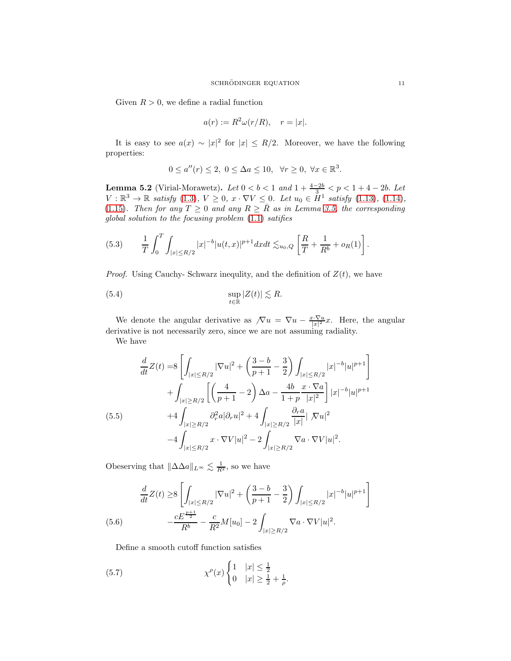Given  $R > 0$ , we define a radial function

$$
a(r) := R^2 \omega(r/R), \quad r = |x|.
$$

It is easy to see  $a(x) \sim |x|^2$  for  $|x| \le R/2$ . Moreover, we have the following properties:

$$
0 \le a''(r) \le 2, \ 0 \le \Delta a \le 10, \ \ \forall r \ge 0, \ \forall x \in \mathbb{R}^3.
$$

<span id="page-10-2"></span>**Lemma 5.2** (Virial-Morawetz). Let  $0 < b < 1$  and  $1 + \frac{4-2b}{3} < p < 1 + 4 - 2b$ . Let  $V : \mathbb{R}^3 \to \mathbb{R}$  satisfy  $(1.3), V \ge 0, x \cdot \nabla V \le 0.$  $(1.3), V \ge 0, x \cdot \nabla V \le 0.$  Let  $u_0 \in H^1$  satisfy  $(1.13), (1.14),$  $(1.13), (1.14),$  $(1.13), (1.14),$  $(1.13), (1.14),$ [\(1.15\)](#page-2-6). Then for any  $T \ge 0$  and any  $R \ge \overline{R}$  as in Lemma [3.5,](#page-6-2) the corresponding global solution to the focusing problem [\(1.1\)](#page-0-2) satifies

$$
(5.3) \qquad \frac{1}{T} \int_0^T \int_{|x| \le R/2} |x|^{-b} |u(t,x)|^{p+1} dx dt \lesssim_{u_0,Q} \left[ \frac{R}{T} + \frac{1}{R^b} + o_R(1) \right].
$$

*Proof.* Using Cauchy- Schwarz inequlity, and the definition of  $Z(t)$ , we have

<span id="page-10-1"></span>(5.4) 
$$
\sup_{t \in \mathbb{R}} |Z(t)| \lesssim R.
$$

We denote the angular derivative as  $\sqrt{\nabla u} = \nabla u - \frac{x \cdot \nabla u}{|x|^2}x$ . Here, the angular derivative is not necessarily zero, since we are not assuming radiality.

We have

$$
\frac{d}{dt}Z(t) = 8\left[\int_{|x|\leq R/2}|\nabla u|^2 + \left(\frac{3-b}{p+1} - \frac{3}{2}\right)\int_{|x|\leq R/2} |x|^{-b}|u|^{p+1}\right] + \int_{|x|\geq R/2} \left[\left(\frac{4}{p+1} - 2\right)\Delta a - \frac{4b}{1+p}\frac{x\cdot\nabla a}{|x|^2}\right]|x|^{-b}|u|^{p+1} + 4\int_{|x|\geq R/2} \partial_r^2 a|\partial_r u|^2 + 4\int_{|x|\geq R/2} \frac{\partial_r a}{|x|}|\nabla u|^2 - 4\int_{|x|\leq R/2} x\cdot\nabla V|u|^2 - 2\int_{|x|\geq R/2} \nabla a\cdot\nabla V|u|^2.
$$

Obeserving that  $\Vert \Delta\Delta a\Vert_{L^{\infty}} \lesssim \frac{1}{R^2}$ , so we have

$$
\frac{d}{dt}Z(t) \ge 8 \left[ \int_{|x| \le R/2} |\nabla u|^2 + \left( \frac{3-b}{p+1} - \frac{3}{2} \right) \int_{|x| \le R/2} |x|^{-b} |u|^{p+1} \right]
$$
\n
$$
(5.6) \qquad -\frac{cE^{\frac{p+1}{2}}}{R^b} - \frac{c}{R^2}M[u_0] - 2 \int_{|x| \ge R/2} \nabla a \cdot \nabla V |u|^2.
$$

<span id="page-10-0"></span>Define a smooth cutoff function satisfies

(5.7) 
$$
\chi^{\rho}(x) \begin{cases} 1 & |x| \leq \frac{1}{2} \\ 0 & |x| \geq \frac{1}{2} + \frac{1}{\rho}. \end{cases}
$$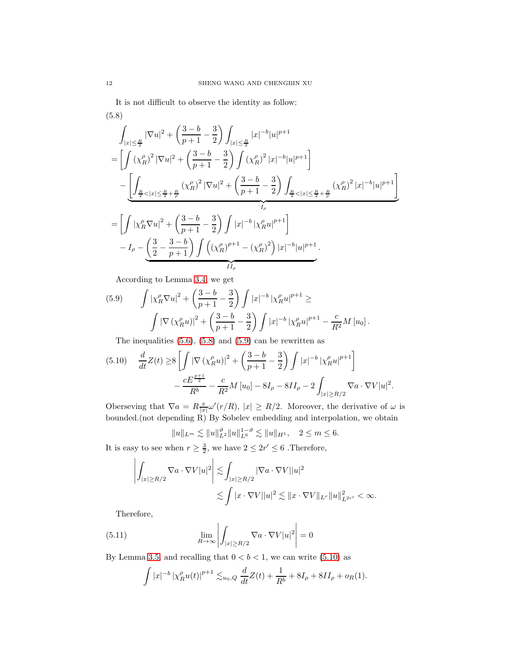<span id="page-11-0"></span>It is not difficult to observe the identity as follow: (5.8)

$$
\begin{split} &\int_{|x|\leq \frac{R}{2}} |\nabla u|^2 + \left(\frac{3-b}{p+1}-\frac{3}{2}\right) \int_{|x|\leq \frac{R}{2}} |x|^{-b} |u|^{p+1} \\ &=\left[\int \left(\chi_R^{\rho}\right)^2 |\nabla u|^2 + \left(\frac{3-b}{p+1}-\frac{3}{2}\right) \int \left(\chi_R^{\rho}\right)^2 |x|^{-b} |u|^{p+1}\right] \\ &\quad - \underbrace{\left[\int_{\frac{R}{2}<|x|\leq \frac{R}{2}+\frac{R}{\rho}} \left(\chi_R^{\rho}\right)^2 |\nabla u|^2 + \left(\frac{3-b}{p+1}-\frac{3}{2}\right) \int_{\frac{R}{2}<|x|\leq \frac{R}{2}+\frac{R}{\rho}} \left(\chi_R^{\rho}\right)^2 |x|^{-b} |u|^{p+1}\right]}_{I_{\rho}} \\ &=\left[\int |\chi_R^{\rho} \nabla u|^2 + \left(\frac{3-b}{p+1}-\frac{3}{2}\right) \int |x|^{-b} |\chi_R^{\rho} u|^{p+1}\right] \\ &\quad - I_{\rho} - \underbrace{\left(\frac{3}{2}-\frac{3-b}{p+1}\right) \int \left(\left(\chi_R^{\rho}\right)^{p+1} - \left(\chi_R^{\rho}\right)^2\right) |x|^{-b} |u|^{p+1}}_{II_{\rho}}. \end{split}
$$

According to Lemma [3.4,](#page-6-3) we get

<span id="page-11-1"></span>(5.9) 
$$
\int |\chi_R^{\rho} \nabla u|^2 + \left(\frac{3-b}{p+1} - \frac{3}{2}\right) \int |x|^{-b} |\chi_R^{\rho} u|^{p+1} \ge
$$

$$
\int |\nabla (\chi_R^{\rho} u)|^2 + \left(\frac{3-b}{p+1} - \frac{3}{2}\right) \int |x|^{-b} |\chi_R^{\rho} u|^{p+1} - \frac{c}{R^2} M [u_0].
$$

The inequalities  $(5.6)$ ,  $(5.8)$  and  $(5.9)$  can be rewritten as

<span id="page-11-2"></span>
$$
(5.10) \quad \frac{d}{dt}Z(t) \ge 8\left[\int |\nabla \left(\chi_R^{\rho} u\right)|^2 + \left(\frac{3-b}{p+1} - \frac{3}{2}\right)\int |x|^{-b} \left|\chi_R^{\rho} u\right|^{p+1}\right] - \frac{cE^{\frac{p+1}{2}}}{R^b} - \frac{c}{R^2}M\left[u_0\right] - 8I_{\rho} - 8II_{\rho} - 2\int_{|x| \ge R/2} \nabla a \cdot \nabla V|u|^2.
$$

Oberseving that  $\nabla a = R \frac{x}{|x|} \omega'(r/R)$ ,  $|x| \ge R/2$ . Moreover, the derivative of  $\omega$  is bounded.(not depending R) By Sobelev embedding and interpolation, we obtain

$$
||u||_{L^m} \lesssim ||u||_{L^2}^{\vartheta} ||u||_{L^6}^{1-\vartheta} \lesssim ||u||_{H^1}, \quad 2 \le m \le 6.
$$

It is easy to see when  $r \geq \frac{3}{2}$ , we have  $2 \leq 2r' \leq 6$ . Therefore,

$$
\left| \int_{|x| \ge R/2} \nabla a \cdot \nabla V |u|^2 \right| \lesssim \int_{|x| \ge R/2} |\nabla a \cdot \nabla V| |u|^2
$$
  

$$
\lesssim \int |x \cdot \nabla V| |u|^2 \lesssim \|x \cdot \nabla V\|_{L^r} \|u\|_{L^{2r'}}^2 < \infty.
$$

Therefore,

(5.11) 
$$
\lim_{R \to \infty} \left| \int_{|x| \ge R/2} \nabla a \cdot \nabla V |u|^2 \right| = 0
$$

By Lemma [3.5,](#page-6-2) and recalling that  $0 < b < 1$ , we can write [\(5.10\)](#page-11-2) as

$$
\int |x|^{-b} \left| \chi_R^{\rho} u(t) \right|^{p+1} \lesssim_{u_0,Q} \frac{d}{dt} Z(t) + \frac{1}{R^b} + 8I_{\rho} + 8II_{\rho} + o_R(1).
$$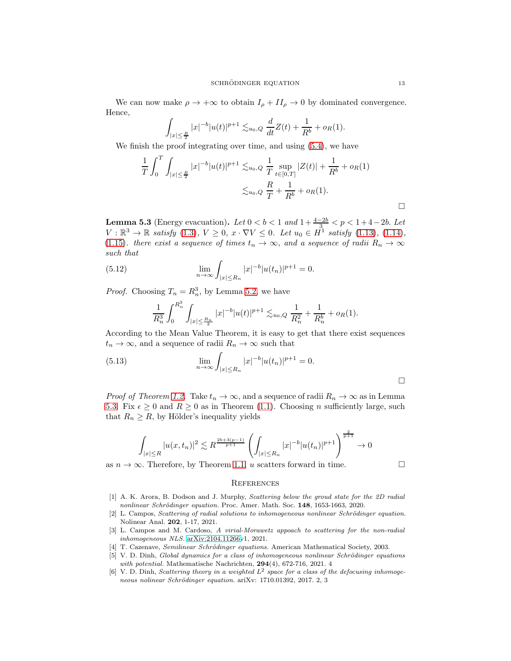We can now make  $\rho \to +\infty$  to obtain  $I_{\rho} + II_{\rho} \to 0$  by dominated convergence. Hence,

$$
\int_{|x| \le \frac{R}{2}} |x|^{-b} |u(t)|^{p+1} \lesssim_{u_0,Q} \frac{d}{dt} Z(t) + \frac{1}{R^b} + o_R(1).
$$

We finish the proof integrating over time, and using  $(5.4)$ , we have

$$
\frac{1}{T} \int_0^T \int_{|x| \le \frac{R}{2}} |x|^{-b} |u(t)|^{p+1} \lesssim_{u_0, Q} \frac{1}{T} \sup_{t \in [0,T]} |Z(t)| + \frac{1}{R^b} + o_R(1)
$$
  

$$
\lesssim_{u_0, Q} \frac{R}{T} + \frac{1}{R^b} + o_R(1).
$$

<span id="page-12-6"></span>**Lemma 5.3** (Energy evacuation). Let  $0 < b < 1$  and  $1 + \frac{4-2b}{3} < p < 1 + 4-2b$ . Let  $V : \mathbb{R}^3 \to \mathbb{R}$  satisfy  $(1.3), V \geq 0, x \cdot \nabla V \leq 0$  $(1.3), V \geq 0, x \cdot \nabla V \leq 0$ . Let  $u_0 \in H^1$  satisfy  $(1.13), (1.14),$  $(1.13), (1.14),$  $(1.13), (1.14),$  $(1.13), (1.14),$ [\(1.15\)](#page-2-6). there exist a sequence of times  $t_n \to \infty$ , and a sequence of radii  $R_n \to \infty$ such that

(5.12) 
$$
\lim_{n \to \infty} \int_{|x| \le R_n} |x|^{-b} |u(t_n)|^{p+1} = 0.
$$

*Proof.* Choosing  $T_n = R_n^3$ , by Lemma [5.2,](#page-10-2) we have

$$
\frac{1}{R_n^3}\int_0^{R_n^3}\int_{|x|\leq \frac{R_n}{2}}|x|^{-b}|u(t)|^{p+1}\lesssim_{u_0,Q} \frac{1}{R_n^2}+\frac{1}{R_n^b}+o_R(1).
$$

According to the Mean Value Theorem, it is easy to get that there exist sequences  $t_n \to \infty$ , and a sequence of radii  $R_n \to \infty$  such that

(5.13) 
$$
\lim_{n \to \infty} \int_{|x| \le R_n} |x|^{-b} |u(t_n)|^{p+1} = 0.
$$

*Proof of Theorem [1.2.](#page-2-1)* Take  $t_n \to \infty$ , and a sequence of radii  $R_n \to \infty$  as in Lemma [5.3.](#page-12-6) Fix  $\epsilon \geq 0$  and  $R \geq 0$  as in Theorem [\(1.1\)](#page-2-0). Choosing n sufficiently large, such that  $R_n \geq R$ , by Hölder's inequality yields

$$
\int_{|x| \le R} |u(x, t_n)|^2 \lesssim R^{\frac{2b+3(p-1)}{p+1}} \left( \int_{|x| \le R_n} |x|^{-b} |u(t_n)|^{p+1} \right)^{\frac{2}{p+1}} \to 0
$$

as  $n \to \infty$ . Therefore, by Theorem [1.1,](#page-2-0) u scatters forward in time.

## **REFERENCES**

- <span id="page-12-4"></span>[1] A. K. Arora, B. Dodson and J. Murphy, *Scattering below the groud state for the 2D radial nonlinear Schrödinger equation.* Proc. Amer. Math. Soc. 148, 1653-1663, 2020.
- <span id="page-12-5"></span>[2] L. Campos, *Scattering of radial solutions to inhomogeneous nonlinear Schrödinger equation.* Nolinear Anal. 202, 1-17, 2021.
- <span id="page-12-1"></span>[3] L. Campos and M. Cardoso, *A virial-Morawetz appoach to scattering for the non-radial inhomogeneous NLS.* [arXiv:2104.11266v](http://arxiv.org/abs/2104.11266)1, 2021.
- <span id="page-12-2"></span><span id="page-12-0"></span>[4] T. Cazenave, *Semilinear Schrödinger equations*. American Mathematical Society, 2003.
- [5] V. D. Dinh, *Global dynamics for a class of inhomogeneous nonlinear Schrödinger equations with potential.* Mathematische Nachrichten, 294(4), 672-716, 2021. 4
- <span id="page-12-3"></span>[6] V. D. Dinh, *Scattering theory in a weighted* L 2 *space for a class of the defocusing inhomogeneous nolinear Schrödinger equation.* ariXv: 1710.01392, 2017. 2, 3